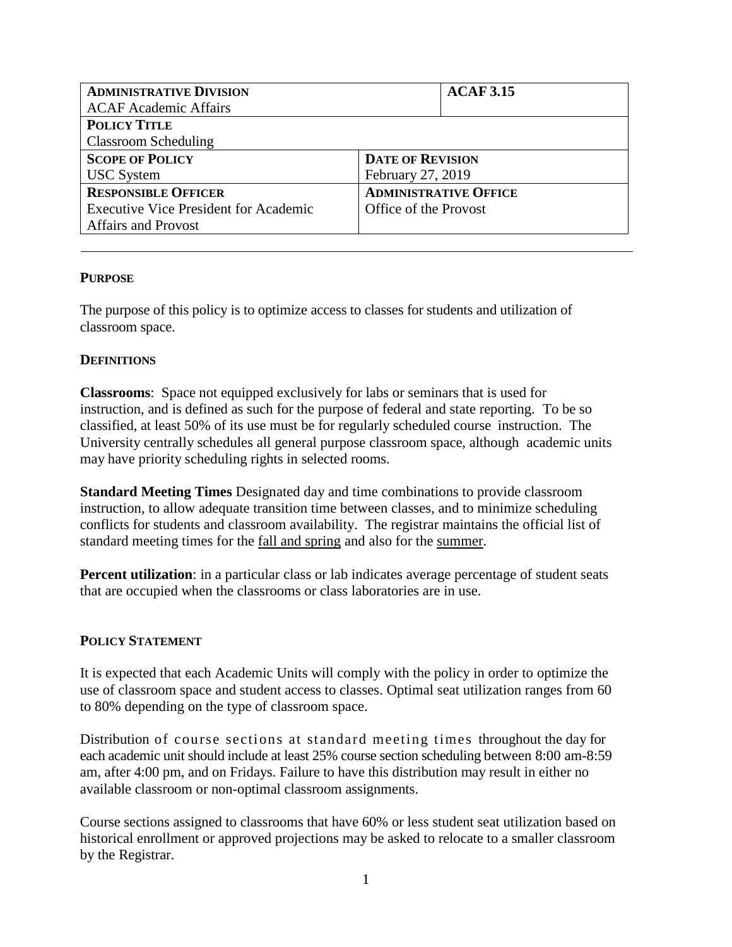| <b>ADMINISTRATIVE DIVISION</b>               | <b>ACAF3.15</b>              |  |
|----------------------------------------------|------------------------------|--|
| <b>ACAF</b> Academic Affairs                 |                              |  |
| <b>POLICY TITLE</b>                          |                              |  |
| Classroom Scheduling                         |                              |  |
| <b>SCOPE OF POLICY</b>                       | <b>DATE OF REVISION</b>      |  |
| <b>USC</b> System                            | February 27, 2019            |  |
| <b>RESPONSIBLE OFFICER</b>                   | <b>ADMINISTRATIVE OFFICE</b> |  |
| <b>Executive Vice President for Academic</b> | Office of the Provost        |  |
| <b>Affairs and Provost</b>                   |                              |  |

#### **PURPOSE**

The purpose of this policy is to optimize access to classes for students and utilization of classroom space.

#### **DEFINITIONS**

**Classrooms**: Space not equipped exclusively for labs or seminars that is used for instruction, and is defined as such for the purpose of federal and state reporting. To be so classified, at least 50% of its use must be for regularly scheduled course instruction. The University centrally schedules all general purpose classroom space, although academic units may have priority scheduling rights in selected rooms.

**Standard Meeting Times** Designated day and time combinations to provide classroom instruction, to allow adequate transition time between classes, and to minimize scheduling conflicts for students and classroom availability. The registrar maintains the official list of standard meeting times for the [fall and spring](https://www.sc.edu/about/offices_and_divisions/registrar/toolbox/scheduling/standard_meeting_times/index.php) and also for the [summer.](https://www.sc.edu/about/offices_and_divisions/registrar/toolbox/scheduling/summer_meeting_times/index.php)

**Percent utilization**: in a particular class or lab indicates average percentage of student seats that are occupied when the classrooms or class laboratories are in use.

## **POLICY STATEMENT**

It is expected that each Academic Units will comply with the policy in order to optimize the use of classroom space and student access to classes. Optimal seat utilization ranges from 60 to 80% depending on the type of classroom space.

Distribution of course sections at standard meeting times throughout the day for each academic unit should include at least 25% course section scheduling between 8:00 am-8:59 am, after 4:00 pm, and on Fridays. Failure to have this distribution may result in either no available classroom or non-optimal classroom assignments.

Course sections assigned to classrooms that have 60% or less student seat utilization based on historical enrollment or approved projections may be asked to relocate to a smaller classroom by the Registrar.